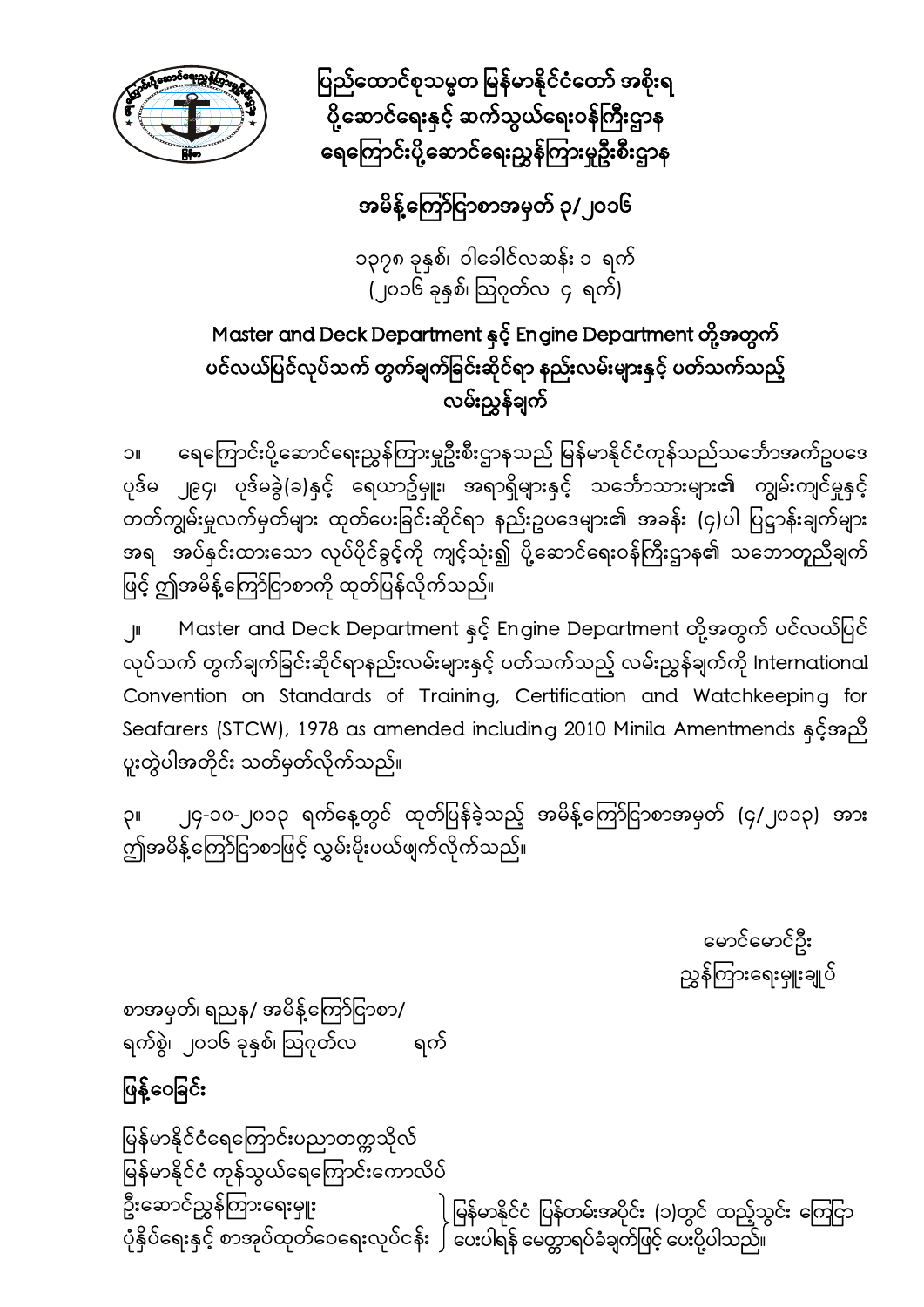

ပြည်ထောင်စုသမ္မတ မြန်မာနိုင်ငံတော် အစိုးရ ပို့ဆောင်ရေးနှင့် ဆက်သွယ်ရေးဝန်ကြီးဌာန ရေကြောင်းပို့ဆောင်ရေးညွှန်ကြားမှုဦးစီးဌာန

## အမိန့်ကြော်ငြာစာအမှတ် ၃/၂၀၁၆

၁၃၇၈ ခုနှစ်၊ ဝါေခါင်လဆန်း ၁ ရက် (၂၀၁၆ ခုနှစ်၊ ဩဂုတ်လ $\,$  ၄ ရက်)

### Master and Deck Department နှင် ့ Engine Department တို့အတွက် ပင်လယ်ပြင်လုပ်သက် တွက်ချက်ခြင်းဆိုင်ရာ နည်းလမ်းများနှင့် ပတ်သက်သည့် လမ်းညွှန်ချက်

၁။ ေရေကြောင်းပို့ဆောင်ရေးညွှန်ကြားမှုဦးစီးဌာနသည် မြန်မာနိုင်ငံကုန်သည်သင်္ဘောအက်ဥပဒေ ပုဒ်မ ၂၉၄၊ ပုဒ်မခွဲ(ခ)နှင့် ရေယာဥ်မှူး၊ အရာရှိများနှင့် သင်္ဘောသားများ၏ ကျွမ်းကျင်မှုနှင့် တတ်ကျွမ်းမှုလက်မှတ်များ ထုတ်ပေးခြင်းဆိုင်ရာ နည်းဥပဒေများ၏ အခန်း (၄)ပါ ပြဋ္ဌာန်းချက်များ အရ အပ်နှင်းထားသော လုပ်ပိုင်ခွင့်ကို ကျင့်သုံး၍ ပို့ဆောင်ရေးဝန်ကြီးဌာန၏ သဘောတူညီချက် ဖြင့် ဤအမိန့်ကြော်ငြာစာကို ထုတ်ပြန်လိုက်သည်။

၂။ Master and Deck Department နှင့် Engine Department တို့အတွက် ပင်လယ်ပြင် လုပ်သက် တွက်ချက်ခြင်းဆိုင်ရာနည်းလမ်းများနှင့် ပတ်သက်သည့် လမ်းညွှန်ချက်ကို International Convention on Standards of Training, Certification and Watchkeeping for Seafarers (STCW), 1978 as amended including 2010 Minila Amentmends နှင့်အညီ ပူးတွဲပါအတိုင်း သတ်မှတ်လိုက်သည်။

၃။ ၂၄-၁၀-၂၀၁၃ ရက်နေ့တွင် ထုတ်ပြန်ခဲ့သည့် အမိန့်ကြော်ငြာစာအမှတ် (၄/၂၀၁၃) အား ဤအမိန့်ကြော်ငြာစာဖြင့် လွှမ်းမိုးပယ်ဖျက်လိုက်သည်။

> ေမာင်ေမာင်ဦး ညွှန်ကြားရေးမှူးချုပ်

စာအမှတ်၊ ရညန/ အမိန့်ကြော်ငြာစာ/ ရက်စွဲ၊ ၂၀၁၆ ခုနှစ်၊ ဩဂုတ်လ ရက်

## ဖြန့်ဝေခြင်း

ြမန်မာနိုင်ငံေရေကြ ာင်းပညာတက္ကသိုလ် မြန်မာနိုင်ငံ ကုန်သွယ်ရေကြောင်းကောလိပ် ဦးဆောင်ညွှန်ကြားရေးမှူး ပုံနှိပ်ရေးနှင့် စာအုပ်ထုတ်ဝေရေးလုပ်ငန်း ၂ ပေးပါရန် မေတ္တာရပ်ခံချက်ဖြင့် ပေးပို့ပါသည်။ ) မြန်မာနိုင်ငံ ပြန်တမ်းအပိုင်း (၁)တွင် ထည့်သွင်း ကြေငြာ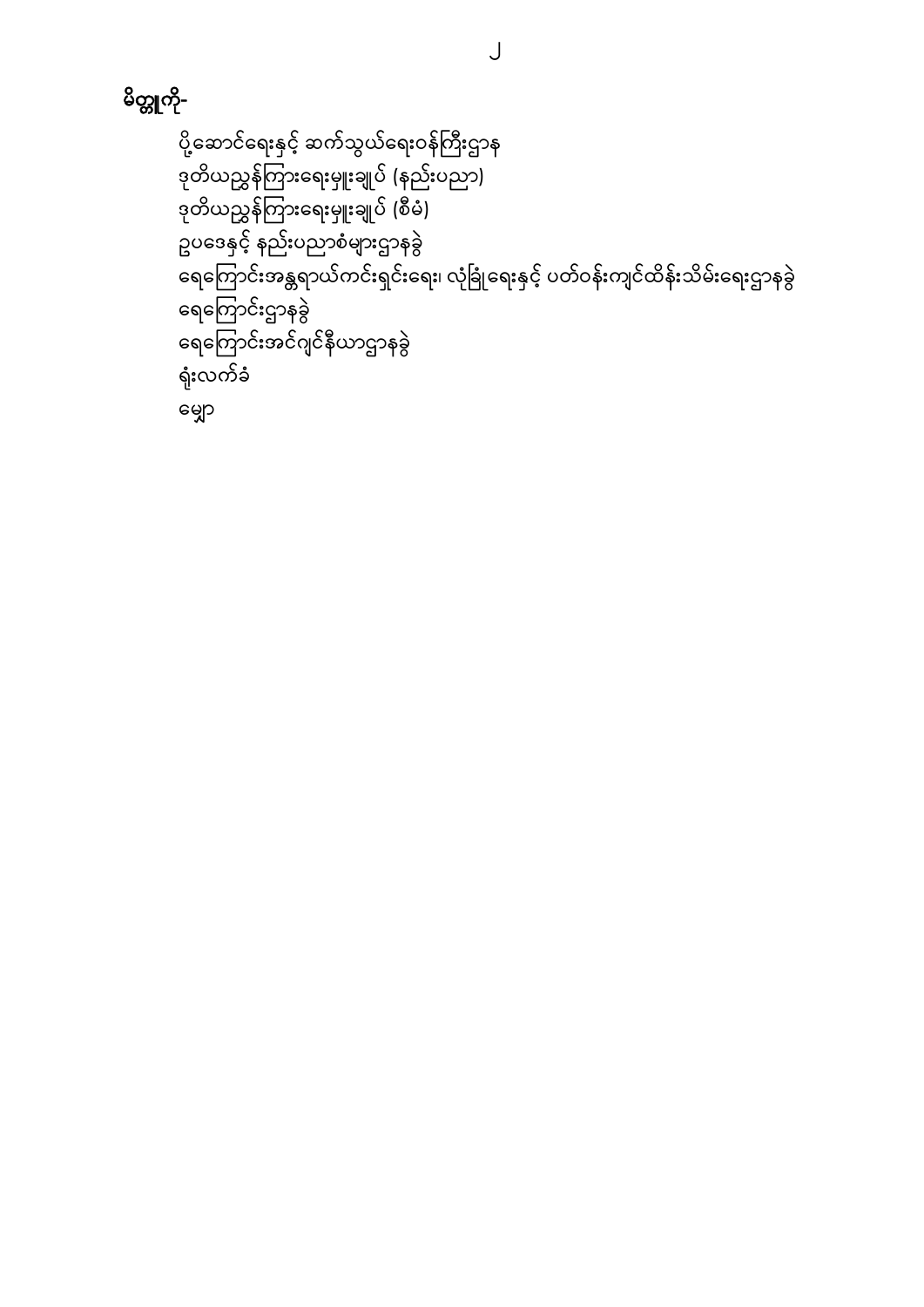$\bigcup$ 

# မိတ္တူကို-

```
ပို့ဆောင်ရေးနှင့် ဆက်သွယ်ရေးဝန်ကြီးဌာန
ဒုတိယညွှန်ကြားရေးမှူးချုပ် (နည်းပညာ)
-<br>ဒုတိယညွှန်ကြားရေးမှူးချုပ် (စီမံ)
ဥပေဒနှင့် နည်းပညာစံများဌာနခွဲ
ရေကြောင်းအန္တရာယ်ကင်းရှင်းရေး၊ လုံခြုံရေးနှင့် ပတ်ဝန်းကျင်ထိန်းသိမ်းရေးဌာနခွဲ
ေရေကြ ာင်းဌာနခွ ဲ
ေရေကြ ာင်းအင်ဂျင်နီယာဌာနခွဲ 
ရုံးလက်ခံ
ေမျှာ
```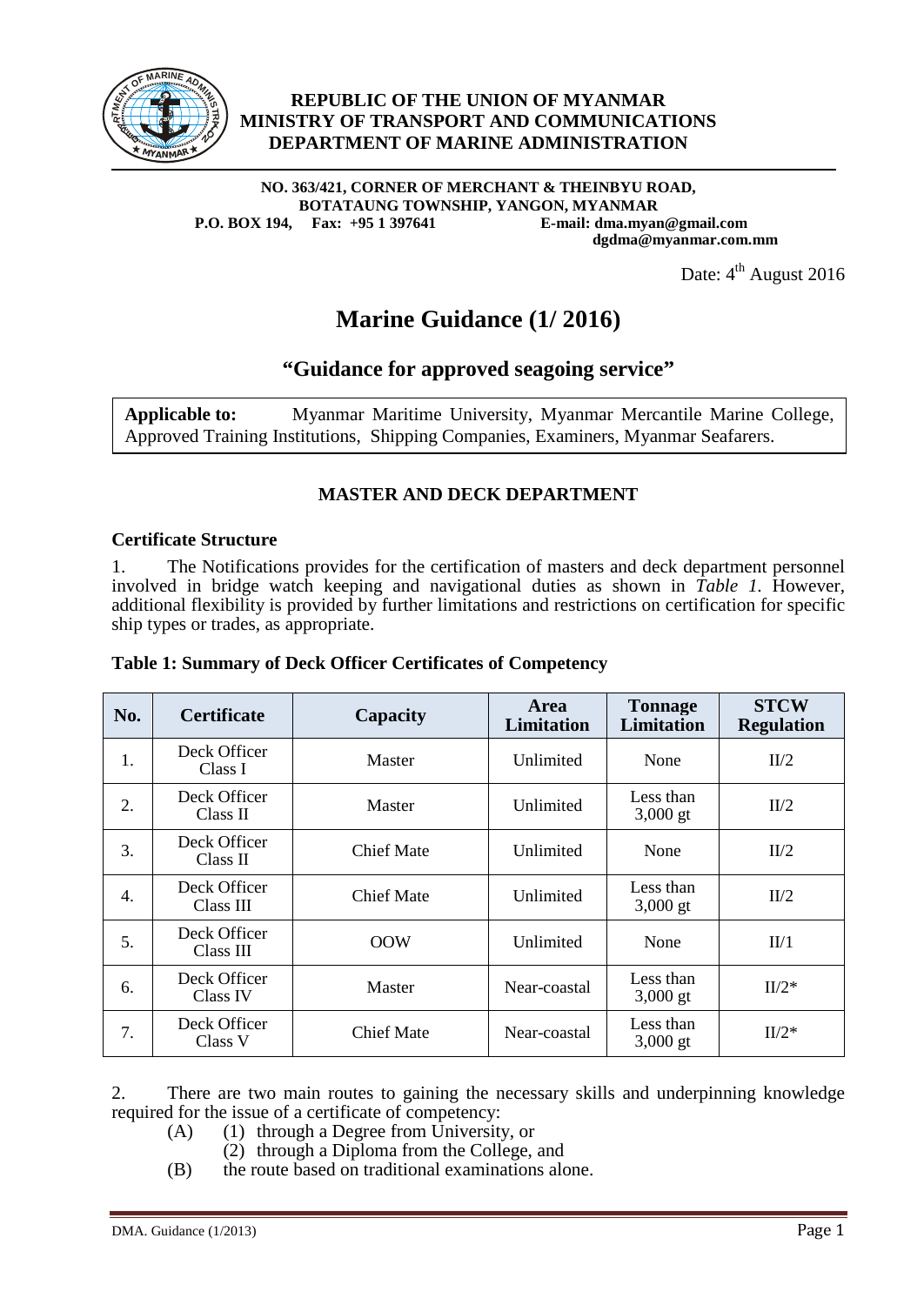

#### **REPUBLIC OF THE UNION OF MYANMAR MINISTRY OF TRANSPORT AND COMMUNICATIONS DEPARTMENT OF MARINE ADMINISTRATION**

#### **NO. 363/421, CORNER OF MERCHANT & THEINBYU ROAD, BOTATAUNG TOWNSHIP, YANGON, MYANMAR P.O. BOX 194, Fax: +95 1 397641 E-mail: dma.myan@gmail.com dgdma@myanmar.com.mm**

Date:  $4^{\text{th}}$  August 2016

### **Marine Guidance (1/ 2016)**

### **"Guidance for approved seagoing service"**

**Applicable to:** Myanmar Maritime University, Myanmar Mercantile Marine College, Approved Training Institutions, Shipping Companies, Examiners, Myanmar Seafarers.

#### **MASTER AND DECK DEPARTMENT**

#### **Certificate Structure**

1. The Notifications provides for the certification of masters and deck department personnel involved in bridge watch keeping and navigational duties as shown in *Table 1.* However, additional flexibility is provided by further limitations and restrictions on certification for specific ship types or trades, as appropriate.

| Table 1: Summary of Deck Officer Certificates of Competency |  |  |  |  |
|-------------------------------------------------------------|--|--|--|--|
|-------------------------------------------------------------|--|--|--|--|

| No. | <b>Certificate</b>        | Capacity          | <b>Area</b><br><b>Limitation</b> | <b>Tonnage</b><br><b>Limitation</b> | <b>STCW</b><br><b>Regulation</b> |
|-----|---------------------------|-------------------|----------------------------------|-------------------------------------|----------------------------------|
| 1.  | Deck Officer<br>Class I   | <b>Master</b>     | Unlimited                        | None                                | II/2                             |
| 2.  | Deck Officer<br>Class II  | Master            | Unlimited                        | Less than<br>$3,000$ gt             | II/2                             |
| 3.  | Deck Officer<br>Class II  | <b>Chief Mate</b> | Unlimited                        | None                                | II/2                             |
| 4.  | Deck Officer<br>Class III | <b>Chief Mate</b> | Unlimited                        | Less than<br>$3,000$ gt             | II/2                             |
| 5.  | Deck Officer<br>Class III | <b>OOW</b>        | Unlimited                        | None                                | II/1                             |
| 6.  | Deck Officer<br>Class IV  | Master            | Near-coastal                     | Less than<br>$3,000$ gt             | $II/2^*$                         |
| 7.  | Deck Officer<br>Class V   | <b>Chief Mate</b> | Near-coastal                     | Less than<br>$3,000$ gt             | $II/2^*$                         |

2. There are two main routes to gaining the necessary skills and underpinning knowledge required for the issue of a certificate of competency:

- (A) (1) through a Degree from University, or
	- (2) through a Diploma from the College, and
- (B) the route based on traditional examinations alone.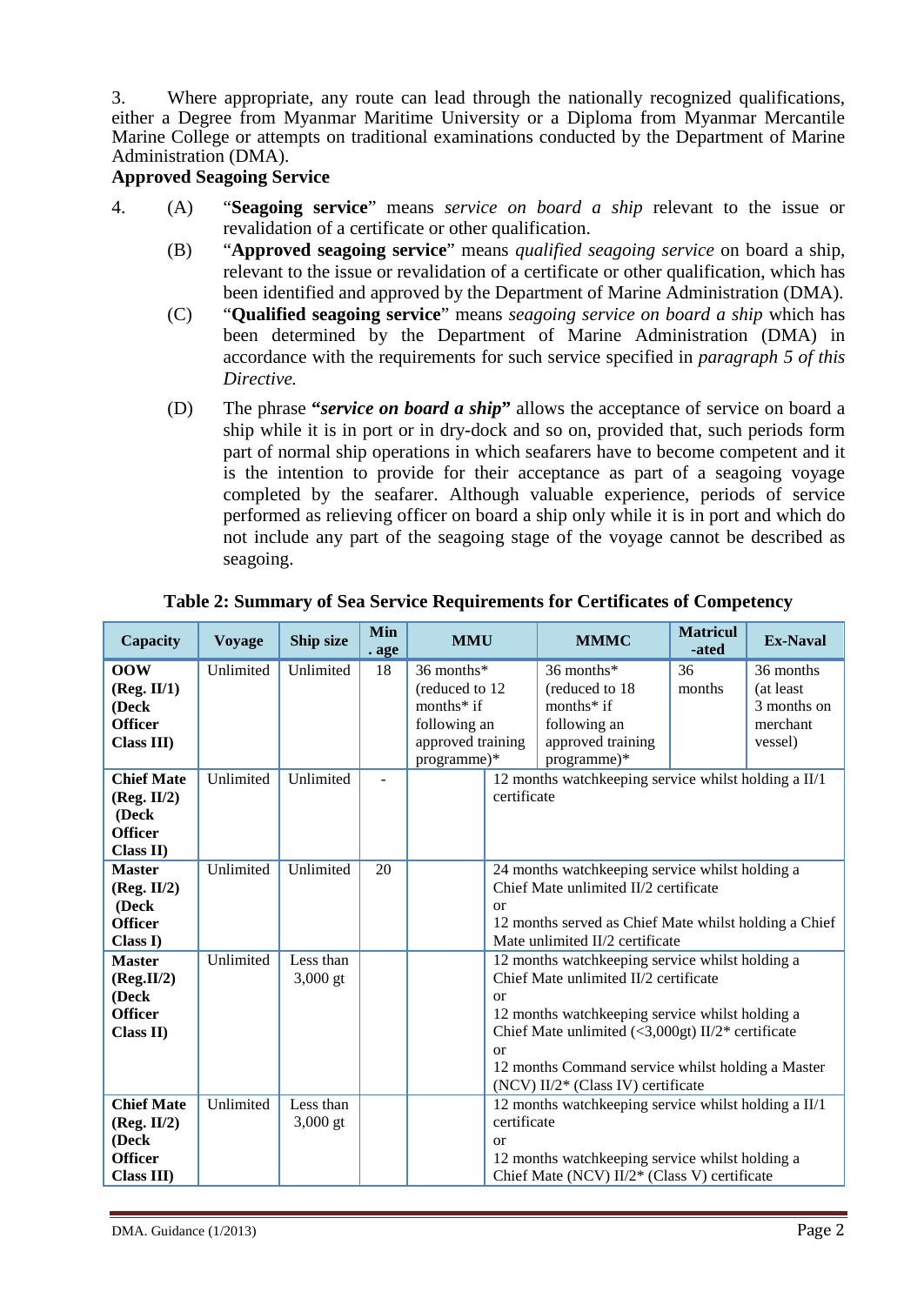3. Where appropriate, any route can lead through the nationally recognized qualifications, either a Degree from Myanmar Maritime University or a Diploma from Myanmar Mercantile Marine College or attempts on traditional examinations conducted by the Department of Marine Administration (DMA).

#### **Approved Seagoing Service**

- 4. (A) "**Seagoing service**" means *service on board a ship* relevant to the issue or revalidation of a certificate or other qualification.
	- (B) "**Approved seagoing service**" means *qualified seagoing service* on board a ship, relevant to the issue or revalidation of a certificate or other qualification, which has been identified and approved by the Department of Marine Administration (DMA).
	- (C) "**Qualified seagoing service**" means *seagoing service on board a ship* which has been determined by the Department of Marine Administration (DMA) in accordance with the requirements for such service specified in *paragraph 5 of this Directive.*
	- (D) The phrase **"***service on board a ship***"** allows the acceptance of service on board a ship while it is in port or in dry-dock and so on, provided that, such periods form part of normal ship operations in which seafarers have to become competent and it is the intention to provide for their acceptance as part of a seagoing voyage completed by the seafarer. Although valuable experience, periods of service performed as relieving officer on board a ship only while it is in port and which do not include any part of the seagoing stage of the voyage cannot be described as seagoing.

| Capacity                                                                  | <b>Voyage</b> | Ship size               | Min<br>. age   | <b>MMU</b>                                                                                         | <b>MMMC</b>                                                                                                                                                                                                                                                                                                | <b>Matricul</b><br>-ated | <b>Ex-Naval</b>                                              |  |
|---------------------------------------------------------------------------|---------------|-------------------------|----------------|----------------------------------------------------------------------------------------------------|------------------------------------------------------------------------------------------------------------------------------------------------------------------------------------------------------------------------------------------------------------------------------------------------------------|--------------------------|--------------------------------------------------------------|--|
| 00W<br>(Reg. II/1)<br>(Deck<br><b>Officer</b><br><b>Class III</b> )       | Unlimited     | Unlimited               | 18             | 36 months*<br>(reduced to 12)<br>months $*$ if<br>following an<br>approved training<br>programme)* | 36 months*<br>(reduced to 18)<br>months $*$ if<br>following an<br>approved training<br>programme)*                                                                                                                                                                                                         | 36<br>months             | 36 months<br>(at least<br>3 months on<br>merchant<br>vessel) |  |
| <b>Chief Mate</b><br>(Reg. II/2)<br>(Deck<br><b>Officer</b><br>Class II)  | Unlimited     | Unlimited               | $\overline{a}$ |                                                                                                    | 12 months watchkeeping service whilst holding a II/1<br>certificate                                                                                                                                                                                                                                        |                          |                                                              |  |
| <b>Master</b><br>(Reg. II/2)<br>(Deck<br><b>Officer</b><br>Class I)       | Unlimited     | Unlimited               | 20             | or                                                                                                 | 24 months watchkeeping service whilst holding a<br>Chief Mate unlimited II/2 certificate<br>12 months served as Chief Mate whilst holding a Chief<br>Mate unlimited II/2 certificate                                                                                                                       |                          |                                                              |  |
| <b>Master</b><br>(Reg.II/2)<br>(Deck<br><b>Officer</b><br>Class II)       | Unlimited     | Less than<br>$3,000$ gt |                | or<br>or                                                                                           | 12 months watchkeeping service whilst holding a<br>Chief Mate unlimited II/2 certificate<br>12 months watchkeeping service whilst holding a<br>Chief Mate unlimited $\langle 3,000gt \rangle$ II/2* certificate<br>12 months Command service whilst holding a Master<br>(NCV) II/2* (Class IV) certificate |                          |                                                              |  |
| <b>Chief Mate</b><br>(Reg. II/2)<br>(Deck<br><b>Officer</b><br>Class III) | Unlimited     | Less than<br>$3,000$ gt |                | or                                                                                                 | 12 months watchkeeping service whilst holding a II/1<br>certificate<br>12 months watchkeeping service whilst holding a<br>Chief Mate (NCV) II/2* (Class V) certificate                                                                                                                                     |                          |                                                              |  |

#### **Table 2: Summary of Sea Service Requirements for Certificates of Competency**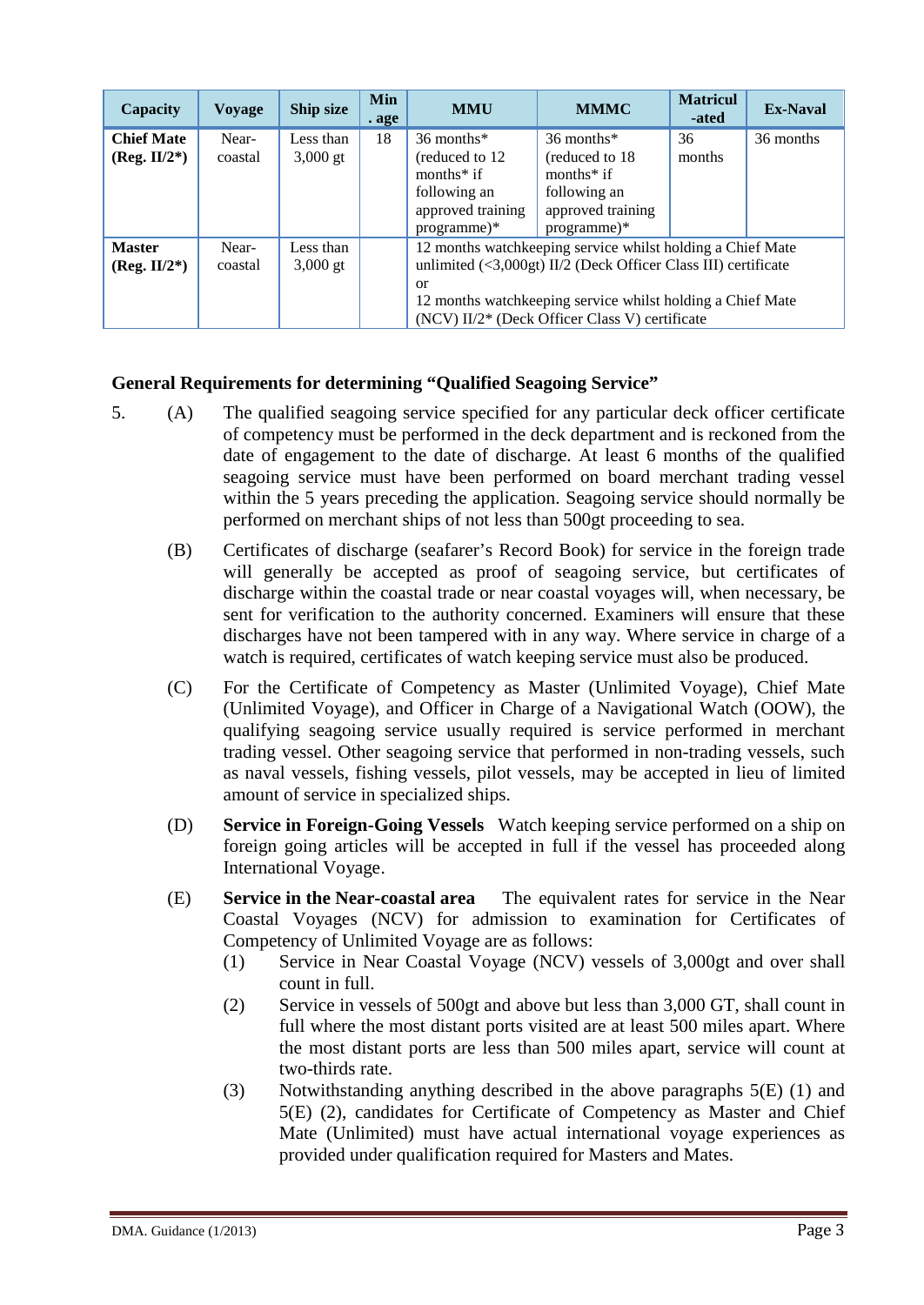| Capacity                             | <b>Voyage</b>    | Ship size               | <b>Min</b><br>. age | <b>MMU</b>                                                                                                                                                                                                                                                                                         | <b>MMMC</b>                                                                                        | <b>Matricul</b><br>-ated | <b>Ex-Naval</b> |
|--------------------------------------|------------------|-------------------------|---------------------|----------------------------------------------------------------------------------------------------------------------------------------------------------------------------------------------------------------------------------------------------------------------------------------------------|----------------------------------------------------------------------------------------------------|--------------------------|-----------------|
| <b>Chief Mate</b><br>$(Reg. II/2^*)$ | Near-<br>coastal | Less than<br>$3,000$ gt | 18                  | 36 months*<br>(reduced to 12)<br>months $*$ if<br>following an<br>approved training<br>$programme)*$                                                                                                                                                                                               | 36 months*<br>(reduced to 18)<br>months $*$ if<br>following an<br>approved training<br>programme)* | 36<br>months             | 36 months       |
| <b>Master</b><br>$(Reg. II/2^*)$     | Near-<br>coastal | Less than<br>$3,000$ gt |                     | 12 months watchkeeping service whilst holding a Chief Mate<br>unlimited $\left( \langle 3,000gt \rangle \right)$ II/2 (Deck Officer Class III) certificate<br>$\alpha$<br>12 months watchkeeping service whilst holding a Chief Mate<br>(NCV) II/2 <sup>*</sup> (Deck Officer Class V) certificate |                                                                                                    |                          |                 |

#### **General Requirements for determining "Qualified Seagoing Service"**

- 5. (A) The qualified seagoing service specified for any particular deck officer certificate of competency must be performed in the deck department and is reckoned from the date of engagement to the date of discharge. At least 6 months of the qualified seagoing service must have been performed on board merchant trading vessel within the 5 years preceding the application. Seagoing service should normally be performed on merchant ships of not less than 500gt proceeding to sea.
	- (B) Certificates of discharge (seafarer's Record Book) for service in the foreign trade will generally be accepted as proof of seagoing service, but certificates of discharge within the coastal trade or near coastal voyages will, when necessary, be sent for verification to the authority concerned. Examiners will ensure that these discharges have not been tampered with in any way. Where service in charge of a watch is required, certificates of watch keeping service must also be produced.
	- (C) For the Certificate of Competency as Master (Unlimited Voyage), Chief Mate (Unlimited Voyage), and Officer in Charge of a Navigational Watch (OOW), the qualifying seagoing service usually required is service performed in merchant trading vessel. Other seagoing service that performed in non-trading vessels, such as naval vessels, fishing vessels, pilot vessels, may be accepted in lieu of limited amount of service in specialized ships.
	- (D) **Service in Foreign-Going Vessels** Watch keeping service performed on a ship on foreign going articles will be accepted in full if the vessel has proceeded along International Voyage.
	- (E) **Service in the Near-coastal area** The equivalent rates for service in the Near Coastal Voyages (NCV) for admission to examination for Certificates of Competency of Unlimited Voyage are as follows:
		- (1) Service in Near Coastal Voyage (NCV) vessels of 3,000gt and over shall count in full.
		- (2) Service in vessels of 500gt and above but less than 3,000 GT, shall count in full where the most distant ports visited are at least 500 miles apart. Where the most distant ports are less than 500 miles apart, service will count at two-thirds rate.
		- (3) Notwithstanding anything described in the above paragraphs 5(E) (1) and 5(E) (2), candidates for Certificate of Competency as Master and Chief Mate (Unlimited) must have actual international voyage experiences as provided under qualification required for Masters and Mates.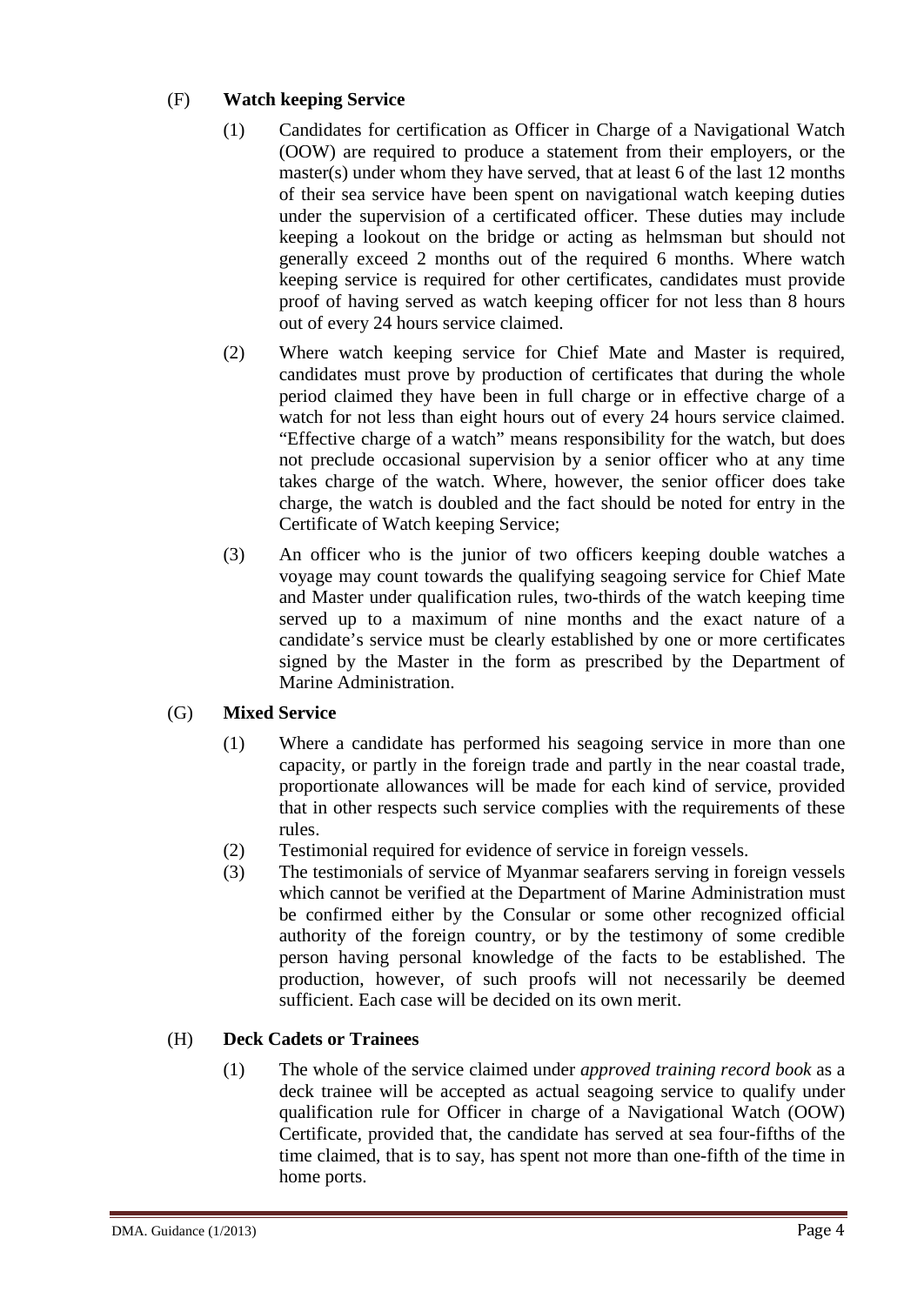#### (F) **Watch keeping Service**

- (1) Candidates for certification as Officer in Charge of a Navigational Watch (OOW) are required to produce a statement from their employers, or the master(s) under whom they have served, that at least 6 of the last 12 months of their sea service have been spent on navigational watch keeping duties under the supervision of a certificated officer. These duties may include keeping a lookout on the bridge or acting as helmsman but should not generally exceed 2 months out of the required 6 months. Where watch keeping service is required for other certificates, candidates must provide proof of having served as watch keeping officer for not less than 8 hours out of every 24 hours service claimed.
- (2) Where watch keeping service for Chief Mate and Master is required, candidates must prove by production of certificates that during the whole period claimed they have been in full charge or in effective charge of a watch for not less than eight hours out of every 24 hours service claimed. "Effective charge of a watch" means responsibility for the watch, but does not preclude occasional supervision by a senior officer who at any time takes charge of the watch. Where, however, the senior officer does take charge, the watch is doubled and the fact should be noted for entry in the Certificate of Watch keeping Service;
- (3) An officer who is the junior of two officers keeping double watches a voyage may count towards the qualifying seagoing service for Chief Mate and Master under qualification rules, two-thirds of the watch keeping time served up to a maximum of nine months and the exact nature of a candidate's service must be clearly established by one or more certificates signed by the Master in the form as prescribed by the Department of Marine Administration.

#### (G) **Mixed Service**

- (1) Where a candidate has performed his seagoing service in more than one capacity, or partly in the foreign trade and partly in the near coastal trade, proportionate allowances will be made for each kind of service, provided that in other respects such service complies with the requirements of these rules.
- (2) Testimonial required for evidence of service in foreign vessels.
- (3) The testimonials of service of Myanmar seafarers serving in foreign vessels which cannot be verified at the Department of Marine Administration must be confirmed either by the Consular or some other recognized official authority of the foreign country, or by the testimony of some credible person having personal knowledge of the facts to be established. The production, however, of such proofs will not necessarily be deemed sufficient. Each case will be decided on its own merit.

#### (H) **Deck Cadets or Trainees**

(1) The whole of the service claimed under *approved training record book* as a deck trainee will be accepted as actual seagoing service to qualify under qualification rule for Officer in charge of a Navigational Watch (OOW) Certificate, provided that, the candidate has served at sea four-fifths of the time claimed, that is to say, has spent not more than one-fifth of the time in home ports.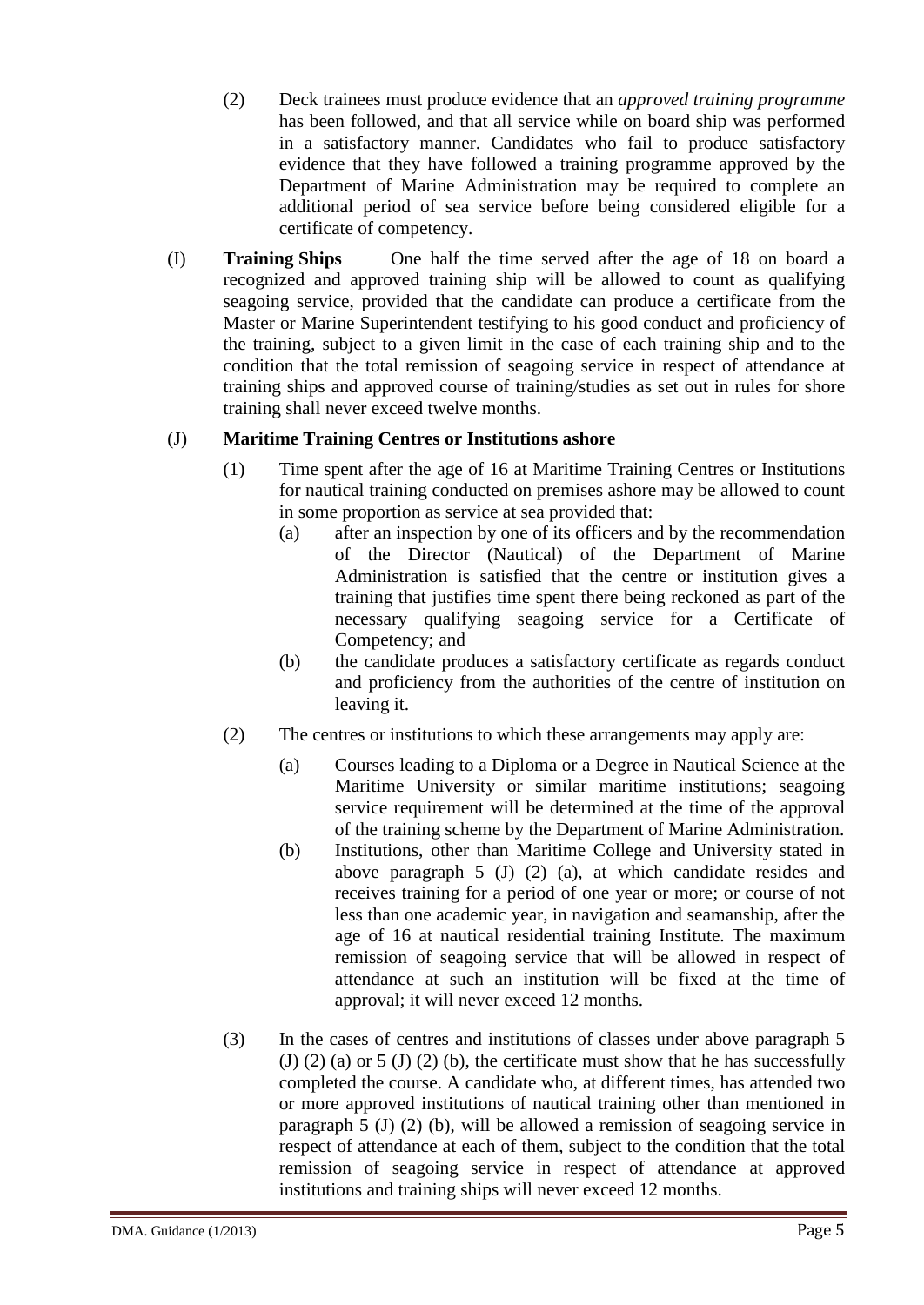- (2) Deck trainees must produce evidence that an *approved training programme*  has been followed, and that all service while on board ship was performed in a satisfactory manner. Candidates who fail to produce satisfactory evidence that they have followed a training programme approved by the Department of Marine Administration may be required to complete an additional period of sea service before being considered eligible for a certificate of competency.
- (I) **Training Ships** One half the time served after the age of 18 on board a recognized and approved training ship will be allowed to count as qualifying seagoing service, provided that the candidate can produce a certificate from the Master or Marine Superintendent testifying to his good conduct and proficiency of the training, subject to a given limit in the case of each training ship and to the condition that the total remission of seagoing service in respect of attendance at training ships and approved course of training/studies as set out in rules for shore training shall never exceed twelve months.

#### (J) **Maritime Training Centres or Institutions ashore**

- (1) Time spent after the age of 16 at Maritime Training Centres or Institutions for nautical training conducted on premises ashore may be allowed to count in some proportion as service at sea provided that:
	- (a) after an inspection by one of its officers and by the recommendation of the Director (Nautical) of the Department of Marine Administration is satisfied that the centre or institution gives a training that justifies time spent there being reckoned as part of the necessary qualifying seagoing service for a Certificate of Competency; and
	- (b) the candidate produces a satisfactory certificate as regards conduct and proficiency from the authorities of the centre of institution on leaving it.
- (2) The centres or institutions to which these arrangements may apply are:
	- (a) Courses leading to a Diploma or a Degree in Nautical Science at the Maritime University or similar maritime institutions; seagoing service requirement will be determined at the time of the approval of the training scheme by the Department of Marine Administration.
	- (b) Institutions, other than Maritime College and University stated in above paragraph 5 (J) (2) (a), at which candidate resides and receives training for a period of one year or more; or course of not less than one academic year, in navigation and seamanship, after the age of 16 at nautical residential training Institute. The maximum remission of seagoing service that will be allowed in respect of attendance at such an institution will be fixed at the time of approval; it will never exceed 12 months.
- (3) In the cases of centres and institutions of classes under above paragraph 5 (J) (2) (a) or 5 (J) (2) (b), the certificate must show that he has successfully completed the course. A candidate who, at different times, has attended two or more approved institutions of nautical training other than mentioned in paragraph 5 (J) (2) (b), will be allowed a remission of seagoing service in respect of attendance at each of them, subject to the condition that the total remission of seagoing service in respect of attendance at approved institutions and training ships will never exceed 12 months.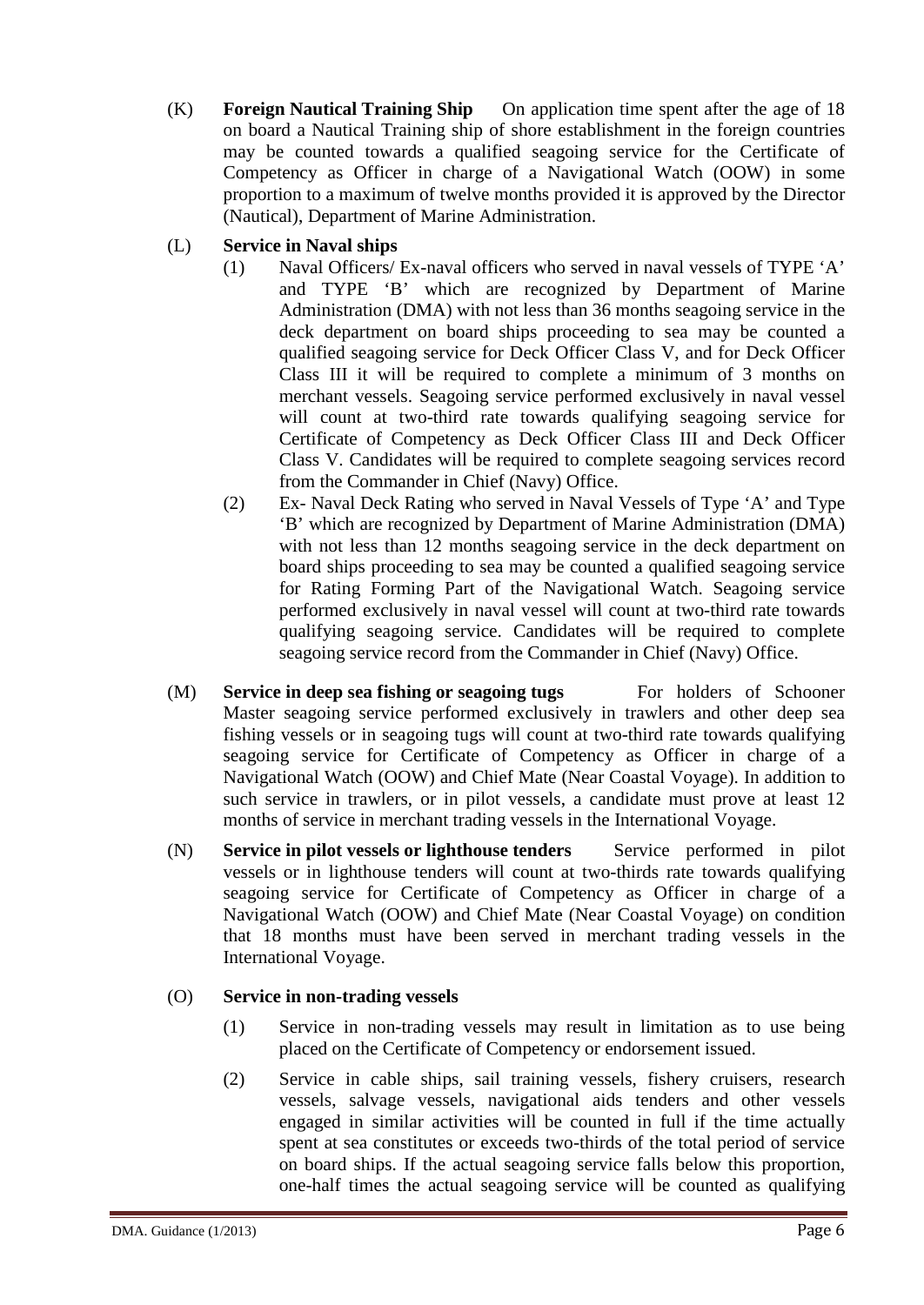(K) **Foreign Nautical Training Ship** On application time spent after the age of 18 on board a Nautical Training ship of shore establishment in the foreign countries may be counted towards a qualified seagoing service for the Certificate of Competency as Officer in charge of a Navigational Watch (OOW) in some proportion to a maximum of twelve months provided it is approved by the Director (Nautical), Department of Marine Administration.

#### (L) **Service in Naval ships**

- (1) Naval Officers/ Ex-naval officers who served in naval vessels of TYPE 'A' and TYPE 'B' which are recognized by Department of Marine Administration (DMA) with not less than 36 months seagoing service in the deck department on board ships proceeding to sea may be counted a qualified seagoing service for Deck Officer Class V, and for Deck Officer Class III it will be required to complete a minimum of 3 months on merchant vessels. Seagoing service performed exclusively in naval vessel will count at two-third rate towards qualifying seagoing service for Certificate of Competency as Deck Officer Class III and Deck Officer Class V. Candidates will be required to complete seagoing services record from the Commander in Chief (Navy) Office.
- (2) Ex- Naval Deck Rating who served in Naval Vessels of Type 'A' and Type 'B' which are recognized by Department of Marine Administration (DMA) with not less than 12 months seagoing service in the deck department on board ships proceeding to sea may be counted a qualified seagoing service for Rating Forming Part of the Navigational Watch. Seagoing service performed exclusively in naval vessel will count at two-third rate towards qualifying seagoing service. Candidates will be required to complete seagoing service record from the Commander in Chief (Navy) Office.
- (M) **Service in deep sea fishing or seagoing tugs** For holders of Schooner Master seagoing service performed exclusively in trawlers and other deep sea fishing vessels or in seagoing tugs will count at two-third rate towards qualifying seagoing service for Certificate of Competency as Officer in charge of a Navigational Watch (OOW) and Chief Mate (Near Coastal Voyage). In addition to such service in trawlers, or in pilot vessels, a candidate must prove at least 12 months of service in merchant trading vessels in the International Voyage.
- (N) **Service in pilot vessels or lighthouse tenders** Service performed in pilot vessels or in lighthouse tenders will count at two-thirds rate towards qualifying seagoing service for Certificate of Competency as Officer in charge of a Navigational Watch (OOW) and Chief Mate (Near Coastal Voyage) on condition that 18 months must have been served in merchant trading vessels in the International Voyage.

#### (O) **Service in non-trading vessels**

- (1) Service in non-trading vessels may result in limitation as to use being placed on the Certificate of Competency or endorsement issued.
- (2) Service in cable ships, sail training vessels, fishery cruisers, research vessels, salvage vessels, navigational aids tenders and other vessels engaged in similar activities will be counted in full if the time actually spent at sea constitutes or exceeds two-thirds of the total period of service on board ships. If the actual seagoing service falls below this proportion, one-half times the actual seagoing service will be counted as qualifying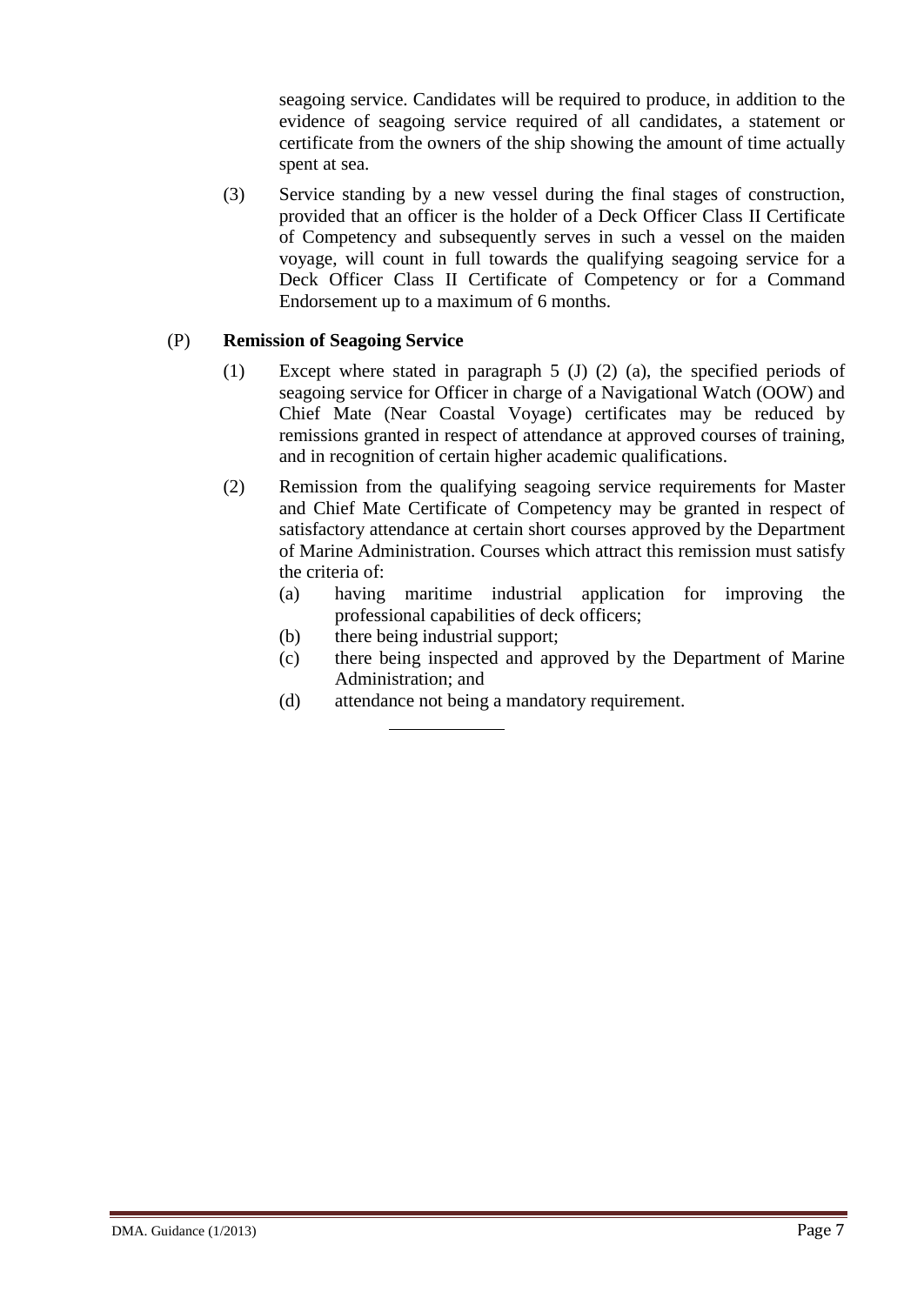seagoing service. Candidates will be required to produce, in addition to the evidence of seagoing service required of all candidates, a statement or certificate from the owners of the ship showing the amount of time actually spent at sea.

(3) Service standing by a new vessel during the final stages of construction, provided that an officer is the holder of a Deck Officer Class II Certificate of Competency and subsequently serves in such a vessel on the maiden voyage, will count in full towards the qualifying seagoing service for a Deck Officer Class II Certificate of Competency or for a Command Endorsement up to a maximum of 6 months.

#### (P) **Remission of Seagoing Service**

- (1) Except where stated in paragraph 5 (J) (2) (a), the specified periods of seagoing service for Officer in charge of a Navigational Watch (OOW) and Chief Mate (Near Coastal Voyage) certificates may be reduced by remissions granted in respect of attendance at approved courses of training, and in recognition of certain higher academic qualifications.
- (2) Remission from the qualifying seagoing service requirements for Master and Chief Mate Certificate of Competency may be granted in respect of satisfactory attendance at certain short courses approved by the Department of Marine Administration. Courses which attract this remission must satisfy the criteria of:
	- (a) having maritime industrial application for improving the professional capabilities of deck officers;
	- (b) there being industrial support;
	- (c) there being inspected and approved by the Department of Marine Administration; and
	- (d) attendance not being a mandatory requirement.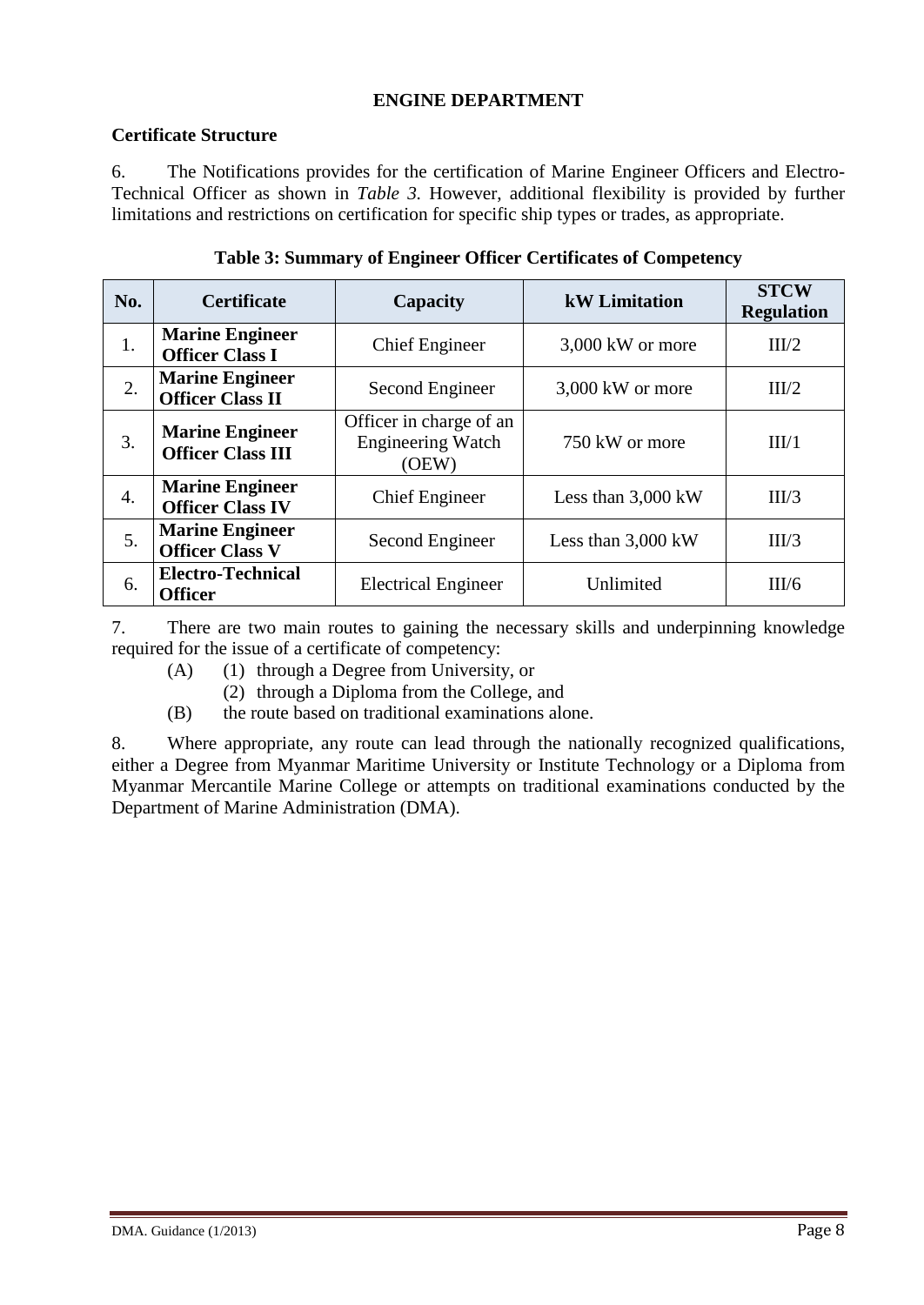#### **ENGINE DEPARTMENT**

#### **Certificate Structure**

6. The Notifications provides for the certification of Marine Engineer Officers and Electro-Technical Officer as shown in *Table 3.* However, additional flexibility is provided by further limitations and restrictions on certification for specific ship types or trades, as appropriate.

| No. | <b>Certificate</b>                                 | Capacity                                                     | <b>kW</b> Limitation | <b>STCW</b><br><b>Regulation</b> |
|-----|----------------------------------------------------|--------------------------------------------------------------|----------------------|----------------------------------|
| 1.  | <b>Marine Engineer</b><br><b>Officer Class I</b>   | <b>Chief Engineer</b>                                        | 3,000 kW or more     | III/2                            |
| 2.  | <b>Marine Engineer</b><br><b>Officer Class II</b>  | Second Engineer                                              | $3,000$ kW or more   | III/2                            |
| 3.  | <b>Marine Engineer</b><br><b>Officer Class III</b> | Officer in charge of an<br><b>Engineering Watch</b><br>(OEW) | 750 kW or more       | III/1                            |
| 4.  | <b>Marine Engineer</b><br><b>Officer Class IV</b>  | <b>Chief Engineer</b>                                        | Less than $3,000$ kW | III/3                            |
| 5.  | <b>Marine Engineer</b><br><b>Officer Class V</b>   | Second Engineer                                              | Less than 3,000 kW   | III/3                            |
| 6.  | <b>Electro-Technical</b><br><b>Officer</b>         | <b>Electrical Engineer</b>                                   | Unlimited            | III/6                            |

#### **Table 3: Summary of Engineer Officer Certificates of Competency**

7. There are two main routes to gaining the necessary skills and underpinning knowledge required for the issue of a certificate of competency:

- (A) (1) through a Degree from University, or
	- (2) through a Diploma from the College, and
- (B) the route based on traditional examinations alone.

8. Where appropriate, any route can lead through the nationally recognized qualifications, either a Degree from Myanmar Maritime University or Institute Technology or a Diploma from Myanmar Mercantile Marine College or attempts on traditional examinations conducted by the Department of Marine Administration (DMA).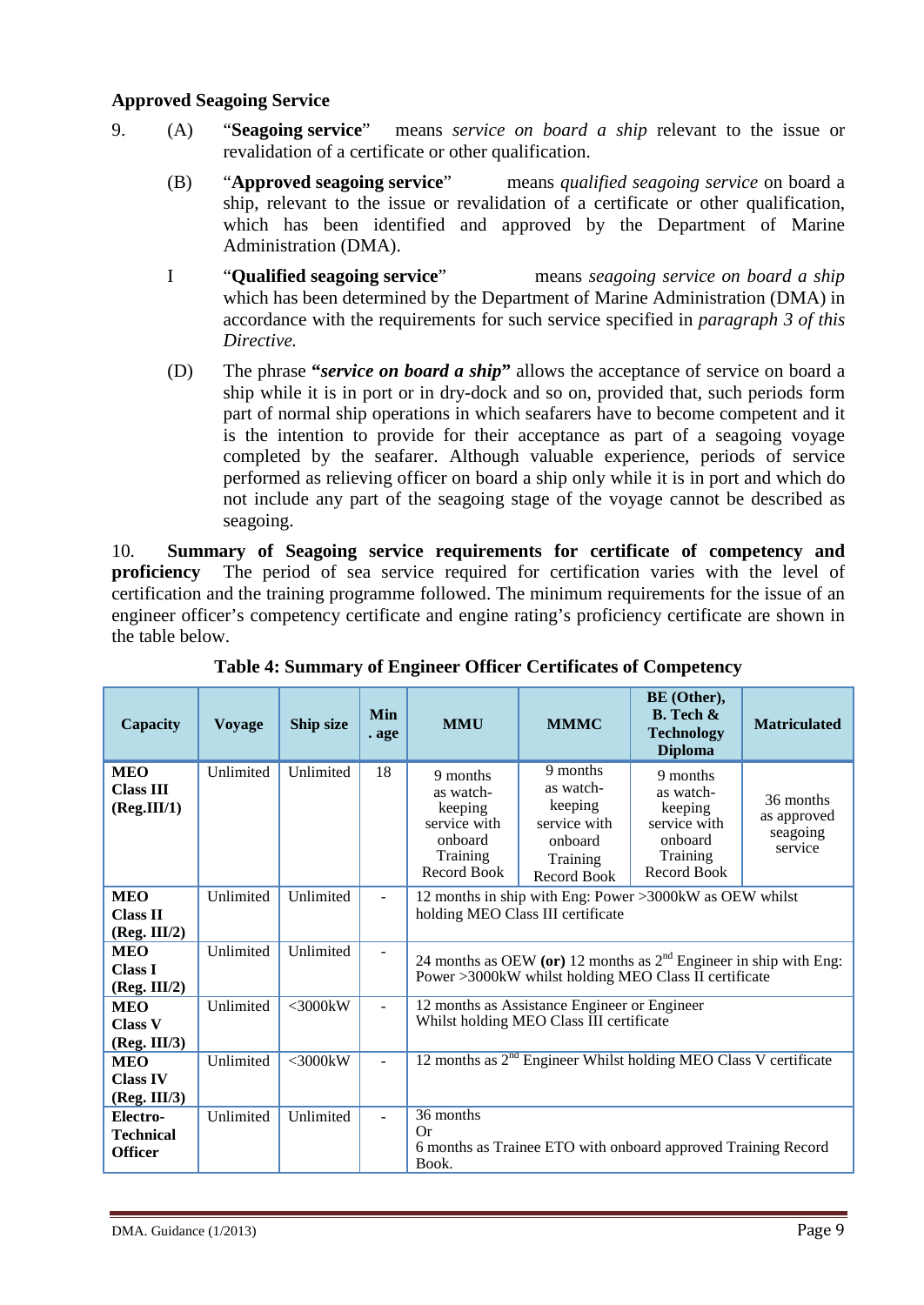#### **Approved Seagoing Service**

- 9. (A) "**Seagoing service**" means *service on board a ship* relevant to the issue or revalidation of a certificate or other qualification.
	- (B) "**Approved seagoing service**" means *qualified seagoing service* on board a ship, relevant to the issue or revalidation of a certificate or other qualification, which has been identified and approved by the Department of Marine Administration (DMA).
	- I "**Qualified seagoing service**" means *seagoing service on board a ship* which has been determined by the Department of Marine Administration (DMA) in accordance with the requirements for such service specified in *paragraph 3 of this Directive.*
	- (D) The phrase **"***service on board a ship***"** allows the acceptance of service on board a ship while it is in port or in dry-dock and so on, provided that, such periods form part of normal ship operations in which seafarers have to become competent and it is the intention to provide for their acceptance as part of a seagoing voyage completed by the seafarer. Although valuable experience, periods of service performed as relieving officer on board a ship only while it is in port and which do not include any part of the seagoing stage of the voyage cannot be described as seagoing.

10. **Summary of Seagoing service requirements for certificate of competency and proficiency** The period of sea service required for certification varies with the level of certification and the training programme followed. The minimum requirements for the issue of an engineer officer's competency certificate and engine rating's proficiency certificate are shown in the table below.

| Capacity                                       | <b>Voyage</b> | Ship size     | Min<br>. age   | <b>MMU</b>                                                                                                                   | <b>MMMC</b>                                                                            | BE (Other),<br>$B.$ Tech $\&$<br><b>Technology</b><br><b>Diploma</b>                   | <b>Matriculated</b>                             |
|------------------------------------------------|---------------|---------------|----------------|------------------------------------------------------------------------------------------------------------------------------|----------------------------------------------------------------------------------------|----------------------------------------------------------------------------------------|-------------------------------------------------|
| <b>MEO</b><br><b>Class III</b><br>(Reg.III/1)  | Unlimited     | Unlimited     | 18             | 9 months<br>as watch-<br>keeping<br>service with<br>onboard<br>Training<br>Record Book                                       | 9 months<br>as watch-<br>keeping<br>service with<br>onboard<br>Training<br>Record Book | 9 months<br>as watch-<br>keeping<br>service with<br>onboard<br>Training<br>Record Book | 36 months<br>as approved<br>seagoing<br>service |
| <b>MEO</b><br><b>Class II</b><br>(Reg. III/2)  | Unlimited     | Unlimited     | $\blacksquare$ | 12 months in ship with Eng: Power >3000kW as OEW whilst<br>holding MEO Class III certificate                                 |                                                                                        |                                                                                        |                                                 |
| <b>MEO</b><br><b>Class I</b><br>(Reg. III/2)   | Unlimited     | Unlimited     | $\sim$         | 24 months as OEW (or) 12 months as $2nd$ Engineer in ship with Eng:<br>Power >3000kW whilst holding MEO Class II certificate |                                                                                        |                                                                                        |                                                 |
| <b>MEO</b><br><b>Class V</b><br>(Reg. III/3)   | Unlimited     | $<$ 3000 $kW$ | $\overline{a}$ | 12 months as Assistance Engineer or Engineer<br>Whilst holding MEO Class III certificate                                     |                                                                                        |                                                                                        |                                                 |
| <b>MEO</b><br><b>Class IV</b><br>(Reg. III/3)  | Unlimited     | $<$ 3000 $kW$ | $\overline{a}$ |                                                                                                                              |                                                                                        | 12 months as $2nd$ Engineer Whilst holding MEO Class V certificate                     |                                                 |
| Electro-<br><b>Technical</b><br><b>Officer</b> | Unlimited     | Unlimited     | ÷.             | 36 months<br>Or<br>Book.                                                                                                     |                                                                                        | 6 months as Trainee ETO with onboard approved Training Record                          |                                                 |

**Table 4: Summary of Engineer Officer Certificates of Competency**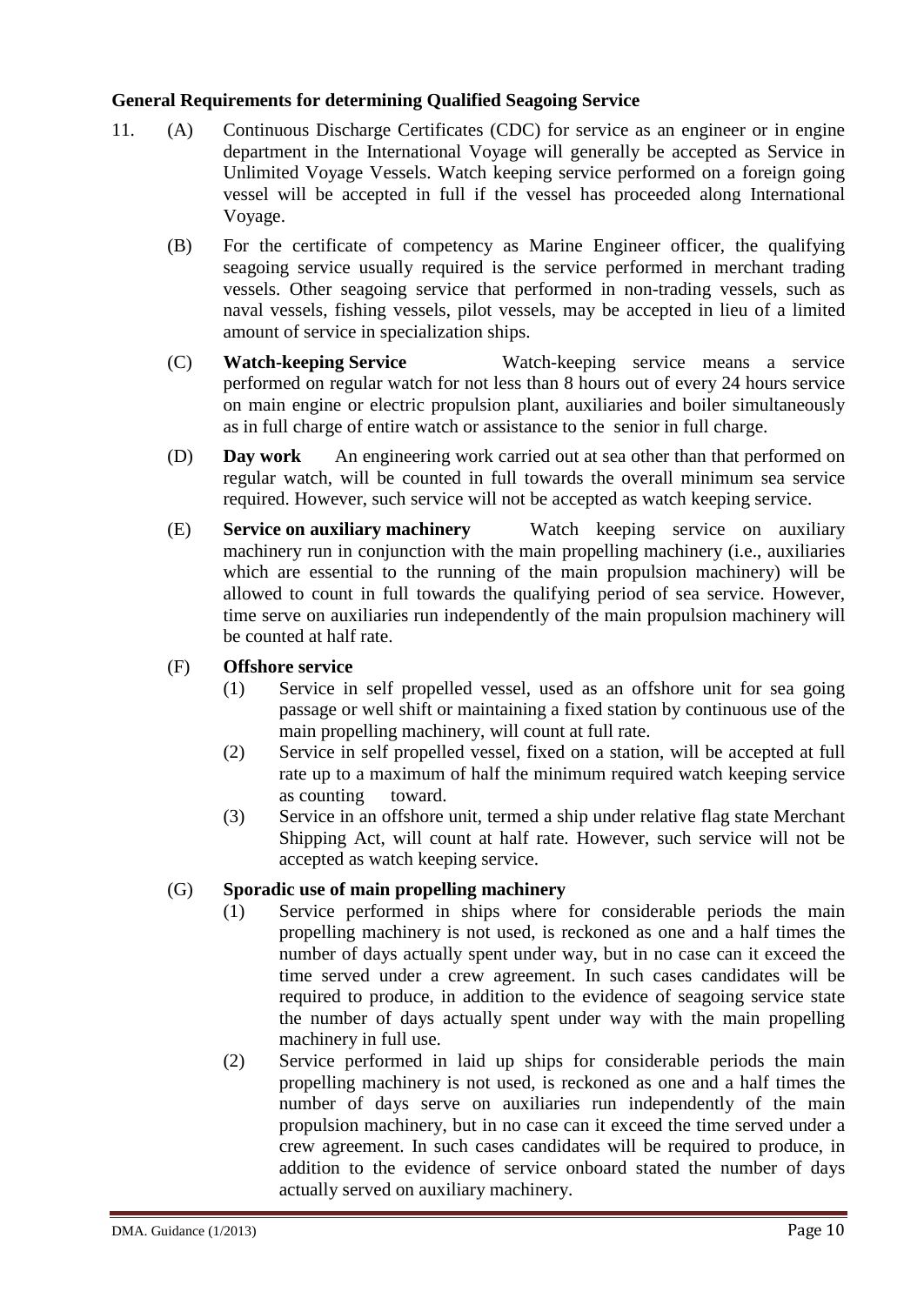#### **General Requirements for determining Qualified Seagoing Service**

- 11. (A) Continuous Discharge Certificates (CDC) for service as an engineer or in engine department in the International Voyage will generally be accepted as Service in Unlimited Voyage Vessels. Watch keeping service performed on a foreign going vessel will be accepted in full if the vessel has proceeded along International Voyage.
	- (B) For the certificate of competency as Marine Engineer officer, the qualifying seagoing service usually required is the service performed in merchant trading vessels. Other seagoing service that performed in non-trading vessels, such as naval vessels, fishing vessels, pilot vessels, may be accepted in lieu of a limited amount of service in specialization ships.
	- (C) **Watch-keeping Service** Watch-keeping service means a service performed on regular watch for not less than 8 hours out of every 24 hours service on main engine or electric propulsion plant, auxiliaries and boiler simultaneously as in full charge of entire watch or assistance to the senior in full charge.
	- (D) **Day work** An engineering work carried out at sea other than that performed on regular watch, will be counted in full towards the overall minimum sea service required. However, such service will not be accepted as watch keeping service.
	- (E) **Service on auxiliary machinery** Watch keeping service on auxiliary machinery run in conjunction with the main propelling machinery (i.e., auxiliaries which are essential to the running of the main propulsion machinery) will be allowed to count in full towards the qualifying period of sea service. However, time serve on auxiliaries run independently of the main propulsion machinery will be counted at half rate.
	- (F) **Offshore service**
		- (1) Service in self propelled vessel, used as an offshore unit for sea going passage or well shift or maintaining a fixed station by continuous use of the main propelling machinery, will count at full rate.
		- (2) Service in self propelled vessel, fixed on a station, will be accepted at full rate up to a maximum of half the minimum required watch keeping service as counting toward.
		- (3) Service in an offshore unit, termed a ship under relative flag state Merchant Shipping Act, will count at half rate. However, such service will not be accepted as watch keeping service.

#### (G) **Sporadic use of main propelling machinery**

- (1) Service performed in ships where for considerable periods the main propelling machinery is not used, is reckoned as one and a half times the number of days actually spent under way, but in no case can it exceed the time served under a crew agreement. In such cases candidates will be required to produce, in addition to the evidence of seagoing service state the number of days actually spent under way with the main propelling machinery in full use.
- (2) Service performed in laid up ships for considerable periods the main propelling machinery is not used, is reckoned as one and a half times the number of days serve on auxiliaries run independently of the main propulsion machinery, but in no case can it exceed the time served under a crew agreement. In such cases candidates will be required to produce, in addition to the evidence of service onboard stated the number of days actually served on auxiliary machinery.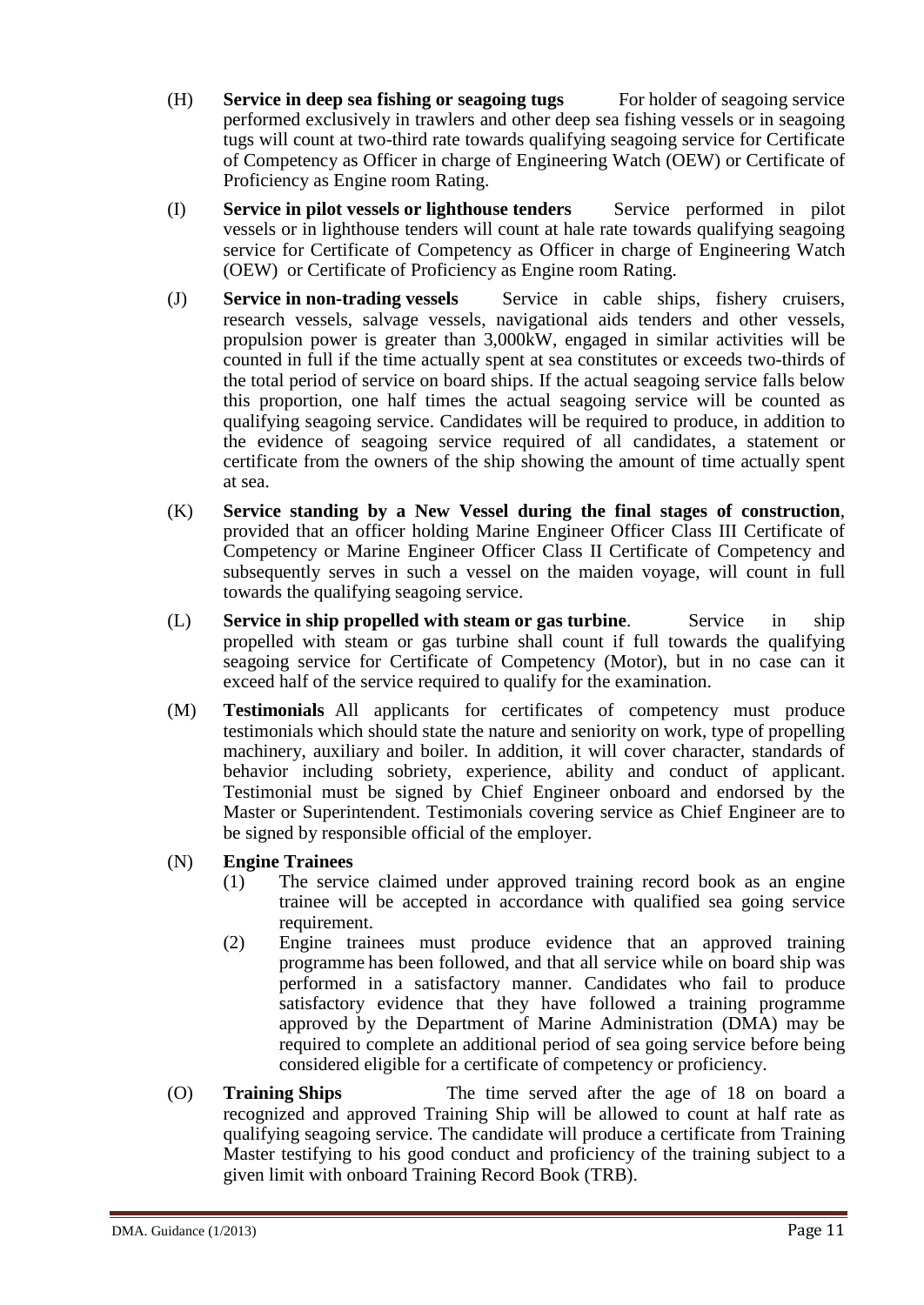- (H) **Service in deep sea fishing or seagoing tugs** For holder of seagoing service performed exclusively in trawlers and other deep sea fishing vessels or in seagoing tugs will count at two-third rate towards qualifying seagoing service for Certificate of Competency as Officer in charge of Engineering Watch (OEW) or Certificate of Proficiency as Engine room Rating.
- (I) **Service in pilot vessels or lighthouse tenders** Service performed in pilot vessels or in lighthouse tenders will count at hale rate towards qualifying seagoing service for Certificate of Competency as Officer in charge of Engineering Watch (OEW) or Certificate of Proficiency as Engine room Rating.
- (J) **Service in non-trading vessels** Service in cable ships, fishery cruisers, research vessels, salvage vessels, navigational aids tenders and other vessels, propulsion power is greater than 3,000kW, engaged in similar activities will be counted in full if the time actually spent at sea constitutes or exceeds two-thirds of the total period of service on board ships. If the actual seagoing service falls below this proportion, one half times the actual seagoing service will be counted as qualifying seagoing service. Candidates will be required to produce, in addition to the evidence of seagoing service required of all candidates, a statement or certificate from the owners of the ship showing the amount of time actually spent at sea.
- (K) **Service standing by a New Vessel during the final stages of construction**, provided that an officer holding Marine Engineer Officer Class III Certificate of Competency or Marine Engineer Officer Class II Certificate of Competency and subsequently serves in such a vessel on the maiden voyage, will count in full towards the qualifying seagoing service.
- (L) **Service in ship propelled with steam or gas turbine**. Service in ship propelled with steam or gas turbine shall count if full towards the qualifying seagoing service for Certificate of Competency (Motor), but in no case can it exceed half of the service required to qualify for the examination.
- (M) **Testimonials** All applicants for certificates of competency must produce testimonials which should state the nature and seniority on work, type of propelling machinery, auxiliary and boiler. In addition, it will cover character, standards of behavior including sobriety, experience, ability and conduct of applicant. Testimonial must be signed by Chief Engineer onboard and endorsed by the Master or Superintendent. Testimonials covering service as Chief Engineer are to be signed by responsible official of the employer.
- (N) **Engine Trainees**
	- (1) The service claimed under approved training record book as an engine trainee will be accepted in accordance with qualified sea going service requirement.
	- (2) Engine trainees must produce evidence that an approved training programme has been followed, and that all service while on board ship was performed in a satisfactory manner. Candidates who fail to produce satisfactory evidence that they have followed a training programme approved by the Department of Marine Administration (DMA) may be required to complete an additional period of sea going service before being considered eligible for a certificate of competency or proficiency.
- (O) **Training Ships** The time served after the age of 18 on board a recognized and approved Training Ship will be allowed to count at half rate as qualifying seagoing service. The candidate will produce a certificate from Training Master testifying to his good conduct and proficiency of the training subject to a given limit with onboard Training Record Book (TRB).